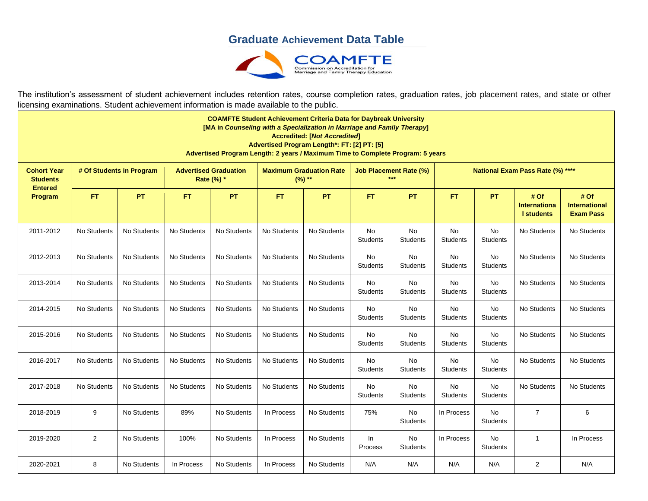## **Graduate Achievement Data Table**



The institution's assessment of student achievement includes retention rates, course completion rates, graduation rates, job placement rates, and state or other licensing examinations. Student achievement information is made available to the public.

| <b>COAMFTE Student Achievement Criteria Data for Daybreak University</b><br>[MA in Counseling with a Specialization in Marriage and Family Therapy]<br><b>Accredited: [Not Accredited]</b><br>Advertised Program Length*: FT: [2] PT: [5]<br>Advertised Program Length: 2 years / Maximum Time to Complete Program: 5 years |                          |             |                                            |             |                                            |             |                               |                       |                                  |                       |                                          |                                                  |
|-----------------------------------------------------------------------------------------------------------------------------------------------------------------------------------------------------------------------------------------------------------------------------------------------------------------------------|--------------------------|-------------|--------------------------------------------|-------------|--------------------------------------------|-------------|-------------------------------|-----------------------|----------------------------------|-----------------------|------------------------------------------|--------------------------------------------------|
| <b>Cohort Year</b><br><b>Students</b><br><b>Entered</b><br>Program                                                                                                                                                                                                                                                          | # Of Students in Program |             | <b>Advertised Graduation</b><br>Rate (%) * |             | <b>Maximum Graduation Rate</b><br>$(%) **$ |             | <b>Job Placement Rate (%)</b> |                       | National Exam Pass Rate (%) **** |                       |                                          |                                                  |
|                                                                                                                                                                                                                                                                                                                             | <b>FT</b>                | PT          | <b>FT</b>                                  | <b>PT</b>   | FT.                                        | <b>PT</b>   | FT.                           | PT                    | <b>FT</b>                        | <b>PT</b>             | #Of<br><b>Internationa</b><br>I students | # Of<br><b>International</b><br><b>Exam Pass</b> |
| 2011-2012                                                                                                                                                                                                                                                                                                                   | No Students              | No Students | No Students                                | No Students | No Students                                | No Students | No<br><b>Students</b>         | No<br>Students        | No<br><b>Students</b>            | No<br><b>Students</b> | No Students                              | No Students                                      |
| 2012-2013                                                                                                                                                                                                                                                                                                                   | No Students              | No Students | No Students                                | No Students | No Students                                | No Students | No<br><b>Students</b>         | No<br><b>Students</b> | <b>No</b><br><b>Students</b>     | No<br><b>Students</b> | No Students                              | No Students                                      |
| 2013-2014                                                                                                                                                                                                                                                                                                                   | No Students              | No Students | No Students                                | No Students | No Students                                | No Students | No<br><b>Students</b>         | No<br><b>Students</b> | <b>No</b><br><b>Students</b>     | No<br><b>Students</b> | No Students                              | No Students                                      |
| 2014-2015                                                                                                                                                                                                                                                                                                                   | No Students              | No Students | No Students                                | No Students | No Students                                | No Students | No<br><b>Students</b>         | <b>No</b><br>Students | No<br><b>Students</b>            | No<br><b>Students</b> | No Students                              | No Students                                      |
| 2015-2016                                                                                                                                                                                                                                                                                                                   | No Students              | No Students | No Students                                | No Students | No Students                                | No Students | No<br><b>Students</b>         | No<br><b>Students</b> | <b>No</b><br><b>Students</b>     | No<br><b>Students</b> | No Students                              | No Students                                      |
| 2016-2017                                                                                                                                                                                                                                                                                                                   | No Students              | No Students | No Students                                | No Students | No Students                                | No Students | No<br><b>Students</b>         | No<br><b>Students</b> | <b>No</b><br><b>Students</b>     | No<br><b>Students</b> | No Students                              | No Students                                      |
| 2017-2018                                                                                                                                                                                                                                                                                                                   | No Students              | No Students | No Students                                | No Students | No Students                                | No Students | No<br><b>Students</b>         | No<br>Students        | No<br>Students                   | No<br><b>Students</b> | No Students                              | No Students                                      |
| 2018-2019                                                                                                                                                                                                                                                                                                                   | 9                        | No Students | 89%                                        | No Students | In Process                                 | No Students | 75%                           | No<br><b>Students</b> | In Process                       | No<br>Students        | $\overline{7}$                           | 6                                                |
| 2019-2020                                                                                                                                                                                                                                                                                                                   | $\overline{2}$           | No Students | 100%                                       | No Students | In Process                                 | No Students | In<br>Process                 | No<br><b>Students</b> | In Process                       | No<br><b>Students</b> | $\mathbf{1}$                             | In Process                                       |
| 2020-2021                                                                                                                                                                                                                                                                                                                   | 8                        | No Students | In Process                                 | No Students | In Process                                 | No Students | N/A                           | N/A                   | N/A                              | N/A                   | $\overline{\mathbf{c}}$                  | N/A                                              |